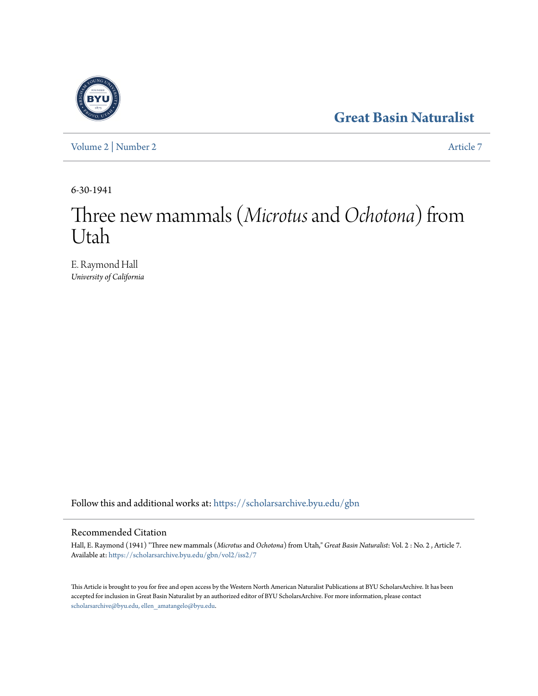## **[Great Basin Naturalist](https://scholarsarchive.byu.edu/gbn?utm_source=scholarsarchive.byu.edu%2Fgbn%2Fvol2%2Fiss2%2F7&utm_medium=PDF&utm_campaign=PDFCoverPages)**

[Volume 2](https://scholarsarchive.byu.edu/gbn/vol2?utm_source=scholarsarchive.byu.edu%2Fgbn%2Fvol2%2Fiss2%2F7&utm_medium=PDF&utm_campaign=PDFCoverPages) | [Number 2](https://scholarsarchive.byu.edu/gbn/vol2/iss2?utm_source=scholarsarchive.byu.edu%2Fgbn%2Fvol2%2Fiss2%2F7&utm_medium=PDF&utm_campaign=PDFCoverPages) [Article 7](https://scholarsarchive.byu.edu/gbn/vol2/iss2/7?utm_source=scholarsarchive.byu.edu%2Fgbn%2Fvol2%2Fiss2%2F7&utm_medium=PDF&utm_campaign=PDFCoverPages)

6-30-1941

## Three new mammals (*Microtus*and*Ochotona*) from Utah

E. Raymond Hall *University of California*

Follow this and additional works at: [https://scholarsarchive.byu.edu/gbn](https://scholarsarchive.byu.edu/gbn?utm_source=scholarsarchive.byu.edu%2Fgbn%2Fvol2%2Fiss2%2F7&utm_medium=PDF&utm_campaign=PDFCoverPages)

## Recommended Citation

Hall, E. Raymond (1941) "Three new mammals (*Microtus* and *Ochotona*) from Utah," *Great Basin Naturalist*: Vol. 2 : No. 2 , Article 7. Available at: [https://scholarsarchive.byu.edu/gbn/vol2/iss2/7](https://scholarsarchive.byu.edu/gbn/vol2/iss2/7?utm_source=scholarsarchive.byu.edu%2Fgbn%2Fvol2%2Fiss2%2F7&utm_medium=PDF&utm_campaign=PDFCoverPages)

This Article is brought to you for free and open access by the Western North American Naturalist Publications at BYU ScholarsArchive. It has been accepted for inclusion in Great Basin Naturalist by an authorized editor of BYU ScholarsArchive. For more information, please contact [scholarsarchive@byu.edu, ellen\\_amatangelo@byu.edu.](mailto:scholarsarchive@byu.edu,%20ellen_amatangelo@byu.edu)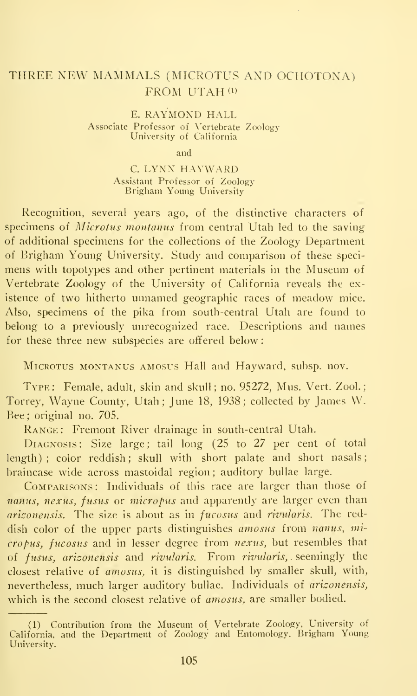## THREE NEW MAMMALS (MTCROTUS AND OCHOTONA) FROM UTAH<sup>(1)</sup>

E. RAYMOND HALL Associate Professor of Vertebrate Zoology University of California

and

C. LYNX HAYWARD Assistant Professor of Zoology Brigham Young University

Recognition, several years ago, of the distinctive characters of specimens of *Microtus montanus* from central Utah led to the saving of additional specimens for the collections of the Zoology Department of Brigham Young University. Study and comparison of these speci mens with topotypes and other pertinent materials in the Museum of Vertebrate Zoology of the University of California reveals the existence of two hitherto unnamed geographic races of meadow mice. Also, specimens of the pika from south-central Utah are found to belong to a previously unrecognized race. Descriptions and names for these three new subspecies are offered below

Microtus montanus amosus Hall and Hayward, subsp. nov.

Type: Female, adult, skin and skull; no. 95272, Mus. Vert. Zool. Torrey, Wayne County, Utah; June 18, 1938; collected by James W. Bee ; original no. 705.

Range : Fremont River drainage in south-central Utah.

DIAGNOSIS: Size large; tail long (25 to 27 per cent of total length) ; color reddish; skull with short palate and short nasals; hraincase wide across mastoidal region ; auditory bullae large.

Comparisons: Individuals of this race are larger than those of nanus, nexus, fusus or micropus and apparently are larger even than arizonensis. The size is about as in fucosus and rivularis. The reddish color of the upper parts distinguishes amosus from nanus, micropus, fucosus and in lesser degree from nexus, but resembles that of fusus, arizonensis and rivularis. From rivularis, . seemingly the closest relative of amosus, it is distinguished by smaller skull, with, nevertheless, much larger auditory bullae. Individuals of arizonensis, which is the second closest relative of *amosus*, are smaller bodied.

<sup>(1)</sup> Contribution from: the Museum of Vertebrate Zoology. University of California, and the Department of Zoology and Entomology, Brigham Young University.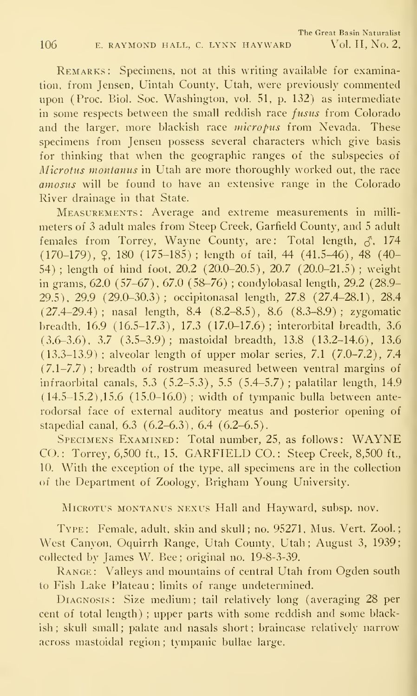REMARKS: Specimens, not at this writing available for examination, from Jensen, Uintah County, Utah, were previously commented upon (Proc. Biol. Soc. Washington, vol. 51, p. 132) as intermediate in some respects between the small reddish race *fusus* from Colorado and the larger, more blackish race micropus from Nevada. These specimens from Jensen possess several characters which give basis for thinking that when the geographic ranges of the subspecies of Microtus montanus in Utah are more thoroughly worked out, the race amosus will be found to have an extensive range in the Colorado River drainage in that State.

Measurements : Average and extreme measurements in milli meters of 3 adult males from Steep Creek, Garfield County, and <sup>5</sup> adult females from Torrey, Wayne County, are: Total length,  $\zeta$ , 174  $(170-179)$ ,  $\varphi$ , 180  $(175-185)$ ; length of tail, 44 (41.5-46), 48 (40-54) ; length of hind foot, 20.2 (20.0-20.5), 20.7 (20.0-21.5) ; weight in grams, 62.0 (57-67), 67.0 (58-76) ; condylobasal length, 29.2 (28.9- 29.5), 29.9 (29.0-30.3); occipitonasal length, 27.8 (27.4-28.1), 28.4 (27.4-29.4); nasal length, 8.4 (8.2-8.5), 8.6 (8.3-8.9); zygomatic breadth, 16.9 (16.5-17.3), 17.3 (17.0-17.6); interorbital breadth, 3.6 (3.6-3.6), 3.7 (3.5-3.9); mastoidal breadth, 13.8 (13.2-14.6), 13.6 (13.3-13.9) ; alveolar length of upper molar series, 7.1 (7.0-7.2), 7.4  $(7.1-7.7)$ ; breadth of rostrum measured between ventral margins of infraorbital canals, 5.3 (5.2-5.3), 5.5 (5.4-5.7); palatilar length, 14.9  $(14.5-15.2), 15.6$   $(15.0-16.0)$ ; width of tympanic bulla between anterodorsal face of external auditory meatus and posterior opening of stapedial canal, 6.3 (6.2-6.3), 6.4 (6.2-6.5).

Specimens Examined: Total number, 25, as follows: WAYNE CO.: Torrey, 6,500 ft., 15. GARFIELD CO.: Steep Creek, 8,500 ft., 10. With the exception of the type, all specimens are in the collection of the Department of Zoology, Brigham Young University.

Microtus montanus nexus Hall and Hayward, subsp. nov.

Type: Female, adult, skin and skull; no. 95271, Mus. Vert. Zool. West Canyon, Oquirrh Range, Utah County, Utah; August 3, 1939; collected by James W. Bee; original no. 19-8-3-39.

RANGE: Valleys and mountains of central Utah from Ogden south to Fish Lake Plateau; limits of range undetermined.

Diagnosis: Size medium; tail relatively long (averaging 28 per cent of total length) ; upper parts with some reddish and some blackish; skull small; palate and nasals short; braincase relatively narrow across mastoidal region ; tympanic bullae large.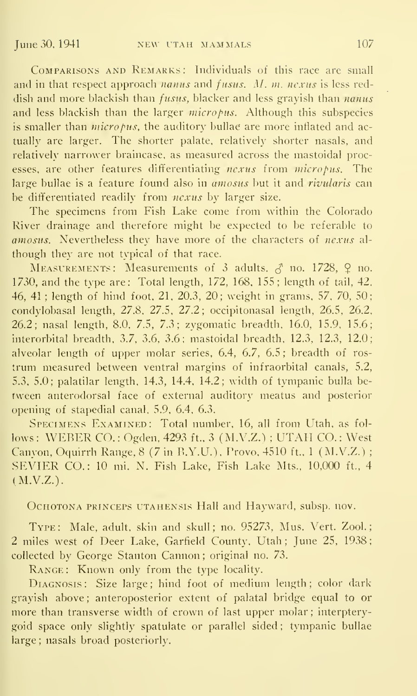Comparisons and Remarks: Individuals of this race are small and in that respect approach nanus and fusus. M. m. nexus is less reddish and more blackish than *fusus*, blacker and less grayish than *nanus* and less blackish than the larger micropus. Although this subspecies is smaller than  $micropus$ , the auditory bullae are more inflated and actually are larger. The shorter palate, relatively shorter nasals, and relatively narrower braincase, as measured across the mastoidal processes, are other features differentiating nexus from micropus. The large bullae is a feature found also in  $\overline{a}$  mosus but it and *rivularis* can be differentiated readily from nexus by larger size.

The specimens from Fish Lake come from within the Colorado River drainage and therefore might be expected to be referable to amosus. Nevertheless they have more of the characters of nexus al though they are not typical of that race.

MEASUREMENTS: Measurements of 3 adults,  $\delta$  no. 1728,  $\Omega$  no. 1730, and the type are: Total length, 172, 168, 155; length of tail, 42, 46, 41 ; length of hind foot, 21, 20.3, 20; weight in grams, 57, 70, 50; condylobasal length, 27.8, 27.5, 27.2; occipitonasal length, 26.5, 26.2, 26.2; nasal length, 8.0, 7.5, 7.3; zygomatic breadth, 16.0, 15.9, 15.6; interorbital breadth, 3.7. 3.6, 3.6; mastoidal breadth, 12.3, 12.3, 12.0; alveolar length of upper molar series, 6.4, 6.7, 6.5 ; breadth of ros trum measured between ventral margins of infraorbital canals, 5.2, 5.3, 5.0; palatilar length, 14.3, 14.4, 14.2; width of tympanic bulla be tween anterodorsal face of external auditory meatus and posterior opening of stapedial canal, 5.9, 6.4, 6.3.

Specimens Examined: Total number, 16, all from Utah, as fol lows: WEBER CO.: Ogden, 4293 ft., 3 (M.V.Z.); UTAH CO.: West Canyon, Oquirrh Range, 8 (7 in B.Y.U.), Provo, 4510 ft., <sup>1</sup> (M.V.Z.) ; SEVIER CO.: <sup>10</sup> mi. N. Fish Lake, Fish Lake Mts., 10,000 ft., 4 (M.V.Z.).

OcHOTONA PRiNCEPS UTAHENSis Hall and Hayward, subsp. nov.

Type: Male, adult, skin and skull; no. 95273, Mus. Vert. Zool. 2 miles west of Deer Lake, Garfield County, Utah; June 25. 1938; collected by George Stanton Cannon ; original no. 73.

Range: Known only from the type locality.

DIAGNOSIS: Size large; hind foot of medium length; color dark grayish above; anteroposterior extent of palatal bridge equal to or more than transverse width of crown of last upper molar; interpterygoid space only slightly spatulate or parallel sided ; tympanic bullae large ; nasals broad posteriorly.